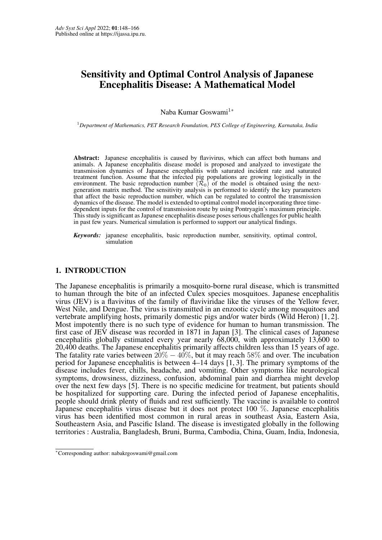# <span id="page-0-0"></span>Sensitivity and Optimal Control Analysis of Japanese Encephalitis Disease: A Mathematical Model

Naba Kumar Goswami<sup>1\*</sup>

<sup>1</sup>*Department of Mathematics, PET Research Foundation, PES College of Engineering, Karnataka, India*

Abstract: Japanese encephalitis is caused by flavivirus, which can affect both humans and animals. A Japanese encephalitis disease model is proposed and analyzed to investigate the transmission dynamics of Japanese encephalitis with saturated incident rate and saturated treatment function. Assume that the infected pig populations are growing logistically in the environment. The basic reproduction number  $(\mathcal{R}_0)$  of the model is obtained using the nextgeneration matrix method. The sensitivity analysis is performed to identify the key parameters that affect the basic reproduction number, which can be regulated to control the transmission dynamics of the disease. The model is extended to optimal control model incorporating three timedependent inputs for the control of transmission route by using Pontryagin's maximum principle. This study is significant as Japanese encephalitis disease poses serious challenges for public health in past few years. Numerical simulation is performed to support our analytical findings.

*Keywords:* japanese encephalitis, basic reproduction number, sensitivity, optimal control, simulation

# 1. INTRODUCTION

The Japanese encephalitis is primarily a mosquito-borne rural disease, which is transmitted to human through the bite of an infected Culex species mosquitoes. Japanese encephalitis virus (JEV) is a flavivitus of the family of flaviviridae like the viruses of the Yellow fever, West Nile, and Dengue. The virus is transmitted in an enzootic cycle among mosquitoes and vertebrate amplifying hosts, primarily domestic pigs and/or water birds (Wild Heron) [\[1,](#page-15-1) [2\]](#page-15-2). Most impotently there is no such type of evidence for human to human transmission. The first case of JEV disease was recorded in 1871 in Japan [\[3\]](#page-15-3). The clinical cases of Japanese encephalitis globally estimated every year nearly 68,000, with approximately 13,600 to 20,400 deaths. The Japanese encephalitis primarily affects children less than 15 years of age. The fatality rate varies between  $20\% - 40\%$ , but it may reach 58% and over. The incubation period for Japanese encephalitis is between 4–14 days [\[1,](#page-15-1) [3\]](#page-15-3). The primary symptoms of the disease includes fever, chills, headache, and vomiting. Other symptoms like neurological symptoms, drowsiness, dizziness, confusion, abdominal pain and diarrhea might develop over the next few days [\[5\]](#page-15-4). There is no specific medicine for treatment, but patients should be hospitalized for supporting care. During the infected period of Japanese encephalitis, people should drink plenty of fluids and rest sufficiently. The vaccine is available to control Japanese encephalitis virus disease but it does not protect 100 %. Japanese encephalitis virus has been identified most common in rural areas in southeast Asia, Eastern Asia, Southeastern Asia, and Pascific Island. The disease is investigated globally in the following territories : Australia, Bangladesh, Bruni, Burma, Cambodia, China, Guam, India, Indonesia,

<sup>∗</sup>Corresponding author: nabakrgoswami@gmail.com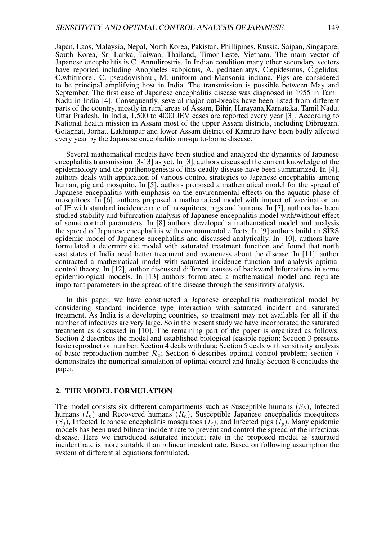Japan, Laos, Malaysia, Nepal, North Korea, Pakistan, Phillipines, Russia, Saipan, Singapore, South Korea, Sri Lanka, Taiwan, Thailand, Timor-Leste, Vietnam. The main vector of Japanese encephalitis is C. Annulirostris. In Indian condition many other secondary vectors have reported including Anopheles subpictus, A. peditaeniatys, C.epidesmus, C.gelidus, C.whitmorei, C. pseudovishnui, M. uniform and Mansonia indiana. Pigs are considered to be principal amplifying host in India. The transmission is possible between May and September. The first case of Japanese encephalitis disease was diagnosed in 1955 in Tamil Nadu in India [\[4\]](#page-15-5). Consequently, several major out-breaks have been listed from different parts of the country, mostly in rural areas of Assam, Bihir, Harayana,Karnataka, Tamil Nadu, Uttar Pradesh. In India, 1,500 to 4000 JEV cases are reported every year [\[3\]](#page-15-3). According to National health mission in Assam most of the upper Assam districts, including Dibrugarh, Golaghat, Jorhat, Lakhimpur and lower Assam district of Kamrup have been badly affected every year by the Japanese encephalitis mosquito-borne disease.

Several mathematical models have been studied and analyzed the dynamics of Japanese encephalitis transmission [3-13] as yet. In [\[3\]](#page-15-3), authors discussed the current knowledge of the epidemiology and the parthenogenesis of this deadly disease have been summarized. In [\[4\]](#page-15-5), authors deals with application of various control strategies to Japanese encephalitis among human, pig and mosquito. In [\[5\]](#page-15-4), authors proposed a mathematical model for the spread of Japanese encephalitis with emphasis on the environmental effects on the aquatic phase of mosquitoes. In [\[6\]](#page-15-6), authors proposed a mathematical model with impact of vaccination on of JE with standard incidence rate of mosquitoes, pigs and humans. In [\[7\]](#page-17-0), authors has been studied stability and bifurcation analysis of Japanese encephalitis model with/without effect of some control parameters. In [\[8\]](#page-17-1) authors developed a mathematical model and analysis the spread of Japanese encephalitis with environmental effects. In [\[9\]](#page-17-2) authors build an SIRS epidemic model of Japanese encephalitis and discussed analytically. In [\[10\]](#page-17-3), authors have formulated a deterministic model with saturated treatment function and found that north east states of India need better treatment and awareness about the disease. In [\[11\]](#page-17-4), author contracted a mathematical model with saturated incidence function and analysis optimal control theory. In [\[12\]](#page-17-5), author discussed different causes of backward bifurcations in some epidemiological models. In [\[13\]](#page-17-6) authors formulated a mathematical model and regulate important parameters in the spread of the disease through the sensitivity analysis.

In this paper, we have constructed a Japanese encephalitis mathematical model by considering standard incidence type interaction with saturated incident and saturated treatment. As India is a developing countries, so treatment may not available for all if the number of infectives are very large. So in the present study we have incorporated the saturated treatment as discussed in [\[10\]](#page-17-3). The remaining part of the paper is organized as follows: Section 2 describes the model and established biological feasible region; Section 3 presents basic reproduction number; Section 4 deals with data; Section 5 deals with sensitivity analysis of basic reproduction number  $\mathcal{R}_0$ ; Section 6 describes optimal control problem; section 7 demonstrates the numerical simulation of optimal control and finally Section 8 concludes the paper.

### 2. THE MODEL FORMULATION

The model consists six different compartments such as Susceptible humans  $(S_h)$ , Infected humans  $(I_h)$  and Recovered humans  $(R_h)$ , Susceptible Japanese encephalitis mosquitoes  $(S_i)$ , Infected Japanese encephalitis mosquitoes  $(I_i)$ , and Infected pigs  $(I_p)$ . Many epidemic models has been used bilinear incident rate to prevent and control the spread of the infectious disease. Here we introduced saturated incident rate in the proposed model as saturated incident rate is more suitable than bilinear incident rate. Based on following assumption the system of differential equations formulated.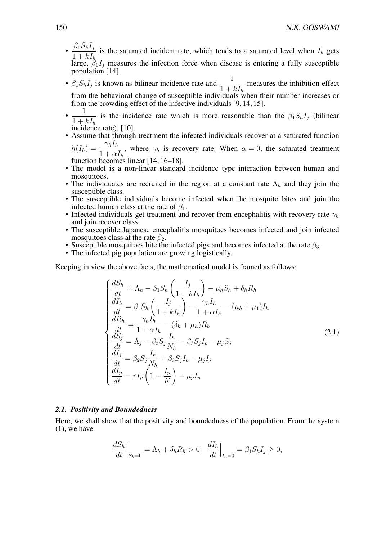- $\cdot \frac{\beta_1 S_h I_j}{1+I}$  $1 + kI_h$ is the saturated incident rate, which tends to a saturated level when  $I_h$  gets large,  $\hat{\beta}_1 I_j$  measures the infection force when disease is entering a fully susceptible population [\[14\]](#page-17-7).
- $\beta_1 S_h I_j$  is known as bilinear incidence rate and  $\frac{1}{1+1}$  $\frac{1}{1 + kI_h}$  measures the inhibition effect from the behavioral change of susceptible individuals when their number increases or from the crowding effect of the infective individuals [\[9,](#page-17-2) [14,](#page-17-7) [15\]](#page-17-8).
- 1  $1 + kI_h$ is the incidence rate which is more reasonable than the  $\beta_1 S_h I_j$  (bilinear incidence rate), [\[10\]](#page-17-3).
- Assume that through treatment the infected individuals recover at a saturated function  $h(I_h) = \frac{\gamma_h I_h}{1+\epsilon}$  $1 + \alpha I_h$ , where  $\gamma_h$  is recovery rate. When  $\alpha = 0$ , the saturated treatment

function becomes linear [\[14,](#page-17-7) [16–](#page-17-9)[18\]](#page-17-10).

- The model is a non-linear standard incidence type interaction between human and mosquitoes.
- The individuates are recruited in the region at a constant rate  $\Lambda_h$  and they join the susceptible class.
- The susceptible individuals become infected when the mosquito bites and join the infected human class at the rate of  $\beta_1$ .
- Infected individuals get treatment and recover from encephalitis with recovery rate  $\gamma_h$ and join recover class.
- The susceptible Japanese encephalitis mosquitoes becomes infected and join infected mosquitoes class at the rate  $\beta_2$ .
- Susceptible mosquitoes bite the infected pigs and becomes infected at the rate  $\beta_3$ .
- The infected pig population are growing logistically.

Keeping in view the above facts, the mathematical model is framed as follows:

$$
\begin{cases}\n\frac{dS_h}{dt} = \Lambda_h - \beta_1 S_h \left( \frac{I_j}{1 + kI_h} \right) - \mu_h S_h + \delta_h R_h \\
\frac{dI_h}{dt} = \beta_1 S_h \left( \frac{I_j}{1 + kI_h} \right) - \frac{\gamma_h I_h}{1 + \alpha I_h} - (\mu_h + \mu_1) I_h \\
\frac{dR_h}{dt} = \frac{\gamma_h I_h}{1 + \alpha I_h} - (\delta_h + \mu_h) R_h \\
\frac{dS_j}{dt} = \Lambda_j - \beta_2 S_j \frac{I_h}{N_h} - \beta_3 S_j I_p - \mu_j S_j \\
\frac{dI_j}{dt} = \beta_2 S_j \frac{I_h}{N_h} + \beta_3 S_j I_p - \mu_j I_j \\
\frac{dI_p}{dt} = rI_p \left( 1 - \frac{I_p}{K} \right) - \mu_p I_p\n\end{cases}
$$
\n(2.1)

### *2.1. Positivity and Boundedness*

Here, we shall show that the positivity and boundedness of the population. From the system (1), we have

$$
\left. \frac{dS_h}{dt} \right|_{S_h=0} = \Lambda_h + \delta_h R_h > 0, \left. \frac{dI_h}{dt} \right|_{I_h=0} = \beta_1 S_h I_j \ge 0,
$$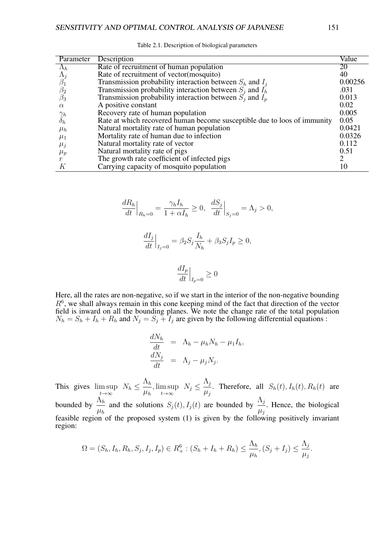| Parameter   | Description                                                              | Value   |
|-------------|--------------------------------------------------------------------------|---------|
| $\Lambda_h$ | Rate of recruitment of human population                                  | 20      |
|             | Rate of recruitment of vector (mosquito)                                 | 40      |
|             | Transmission probability interaction between $S_h$ and $I_i$             | 0.00256 |
| $\beta_2$   | Transmission probability interaction between $S_i$ and $I_h$             | .031    |
| $\beta_3$   | Transmission probability interaction between $S_i$ and $I_p$             | 0.013   |
| $\alpha$    | A positive constant                                                      | 0.02    |
| $\gamma_h$  | Recovery rate of human population                                        | 0.005   |
| $o_h$       | Rate at which recovered human become susceptible due to loos of immunity | 0.05    |
| $\mu_h$     | Natural mortality rate of human population                               | 0.0421  |
| $\mu_1$     | Mortality rate of human due to infection                                 | 0.0326  |
| $\mu_j$     | Natural mortality rate of vector                                         | 0.112   |
| $\mu_p$     | Natural mortality rate of pigs                                           | 0.51    |
|             | The growth rate coefficient of infected pigs                             | 2       |
|             | Carrying capacity of mosquito population                                 | 10      |

Table 2.1. Description of biological parameters

$$
\frac{dR_h}{dt}\Big|_{R_h=0} = \frac{\gamma_h I_h}{1 + \alpha I_h} \ge 0, \quad \frac{dS_j}{dt}\Big|_{S_j=0} = \Lambda_j > 0,
$$
  

$$
\frac{dI_j}{dt}\Big|_{I_j=0} = \beta_2 S_j \frac{I_h}{N_h} + \beta_3 S_j I_p \ge 0,
$$
  

$$
\frac{dI_p}{dt}\Big|_{I_p=0} \ge 0
$$

Here, all the rates are non-negative, so if we start in the interior of the non-negative bounding  $R<sup>6</sup>$ , we shall always remain in this cone keeping mind of the fact that direction of the vector field is inward on all the bounding planes. We note the change rate of the total population  $N_h = S_h + I_h + R_h$  and  $N_j = S_j + I_j$  are given by the following differential equations:

$$
\frac{dN_h}{dt} = \Lambda_h - \mu_h N_h - \mu_1 I_h,
$$
  
\n
$$
\frac{dN_j}{dt} = \Lambda_j - \mu_j N_j.
$$

This gives  $\limsup$  $\max_{t\to\infty} N_h \leq \frac{\Lambda_h}{\mu_h}$  $\mu_h$ , lim sup  $\max_{t\to\infty} N_j \leq \frac{\Lambda_j}{\mu_j}$  $\mu_j$ . Therefore, all  $S_h(t)$ ,  $I_h(t)$ ,  $R_h(t)$  are bounded by  $\frac{\Lambda_h}{\Box}$  $\mu_h$ and the solutions  $S_j(t)$ ,  $I_j(t)$  are bounded by  $\frac{\Lambda_j}{\Lambda_j}$  $\frac{11}{\mu_j}$ . Hence, the biological feasible region of the proposed system (1) is given by the following positively invariant region:

$$
\Omega = (S_h, I_h, R_h, S_j, I_j, I_p) \in R_+^6 : (S_h + I_h + R_h) \le \frac{\Lambda_h}{\mu_h}, (S_j + I_j) \le \frac{\Lambda_j}{\mu_j}.
$$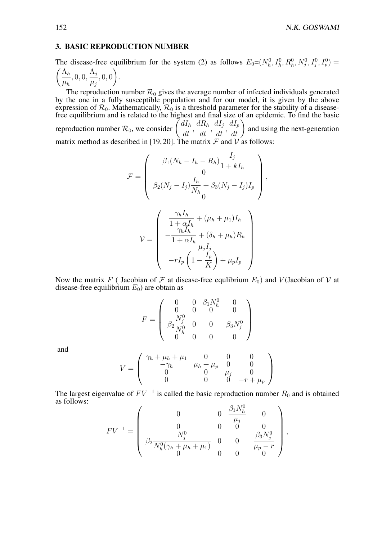### 3. BASIC REPRODUCTION NUMBER

The disease-free equilibrium for the system (2) as follows  $E_0 = (N_h^0, I_h^0, R_h^0, N_j^0, I_j^0, I_p^0) =$  $\bigwedge h$  $\mu_h$  $, 0, 0, \frac{\Lambda_j}{\sigma}$  $\mu_j$ , 0, 0  $\setminus$ .

The reproduction number  $\mathcal{R}_0$  gives the average number of infected individuals generated by the one in a fully susceptible population and for our model, it is given by the above expression of  $\mathcal{R}_0$ . Mathematically,  $\mathcal{R}_0$  is a threshold parameter for the stability of a diseasefree equilibrium and is related to the highest and final size of an epidemic. To find the basic reproduction number  $\mathcal{R}_0$ , we consider  $\left(\frac{dI_h}{dt}\right)$  $\frac{d}{dt},$  $dR_h$  $\frac{d}{dt}$ ,  $dI_j$  $\frac{d}{dt}$ ,  $\frac{dI_p}{dt}$  and using the next-generation

matrix method as described in [\[19,](#page-17-11) [20\]](#page-18-0). The matrix  $\mathcal F$  and  $\mathcal V$  as follows:

$$
\mathcal{F} = \begin{pmatrix}\n\beta_1 (N_h - I_h - R_h) \frac{I_j}{1 + kI_h} \\
0 \\
\beta_2 (N_j - I_j) \frac{I_h}{N_h} + \beta_3 (N_j - I_j) I_p \\
0\n\end{pmatrix},
$$
\n
$$
\mathcal{V} = \begin{pmatrix}\n\frac{\gamma_h I_h}{1 + \alpha I_h} + (\mu_h + \mu_1) I_h \\
-\frac{\gamma_h I_h}{1 + \alpha I_h} + (\delta_h + \mu_h) R_h \\
\mu_j I_j \\
-rI_p \left(1 - \frac{I_p}{K}\right) + \mu_p I_p\n\end{pmatrix}
$$

Now the matrix F (Jacobian of F at disease-free equlibrium  $E_0$ ) and V (Jacobian of V at disease-free equilibrium  $E_0$ ) are obtain as

$$
F = \left(\begin{array}{cccc} 0 & 0 & \beta_1 N_h^0 & 0 \\ 0 & 0 & 0 & 0 \\ \beta_2 \frac{N_j^0}{N_h^0} & 0 & 0 & \beta_3 N_j^0 \\ 0 & 0 & 0 & 0 \end{array}\right)
$$

and

$$
V = \left(\begin{array}{cccc} \gamma_h + \mu_h + \mu_1 & 0 & 0 & 0 \\ -\gamma_h & \mu_h + \mu_p & 0 & 0 \\ 0 & 0 & \mu_j & 0 \\ 0 & 0 & 0 & -r + \mu_p \end{array}\right)
$$

The largest eigenvalue of  $FV^{-1}$  is called the basic reproduction number  $R_0$  and is obtained as follows:  $\Omega$ <sub>170</sub>

$$
FV^{-1} = \begin{pmatrix} 0 & 0 & \frac{\beta_1 N_h^0}{\mu_j} & 0 \\ 0 & 0 & 0 & 0 \\ N_j^0 & 0 & 0 & 0 \\ \beta_2 \frac{N_h^0(\gamma_h + \mu_h + \mu_1)}{N_h^0(\gamma_h + \mu_h + \mu_1)} & 0 & 0 & \frac{\beta_3 N_j^0}{\mu_p - r} \\ 0 & 0 & 0 & 0 \end{pmatrix},
$$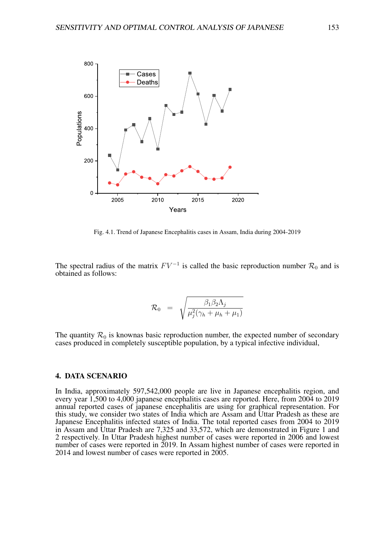

Fig. 4.1. Trend of Japanese Encephalitis cases in Assam, India during 2004-2019

The spectral radius of the matrix  $FV^{-1}$  is called the basic reproduction number  $\mathcal{R}_0$  and is obtained as follows:

$$
\mathcal{R}_0 = \sqrt{\frac{\beta_1 \beta_2 \Lambda_j}{\mu_j^2 (\gamma_h + \mu_h + \mu_1)}}
$$

The quantity  $\mathcal{R}_0$  is knownas basic reproduction number, the expected number of secondary cases produced in completely susceptible population, by a typical infective individual,

## 4. DATA SCENARIO

In India, approximately 597,542,000 people are live in Japanese encephalitis region, and every year 1,500 to 4,000 japanese encephalitis cases are reported. Here, from 2004 to 2019 annual reported cases of japanese encephalitis are using for graphical representation. For this study, we consider two states of India which are Assam and Uttar Pradesh as these are Japanese Encephalitis infected states of India. The total reported cases from 2004 to 2019 in Assam and Uttar Pradesh are 7,325 and 33,572, which are demonstrated in Figure 1 and 2 respectively. In Uttar Pradesh highest number of cases were reported in 2006 and lowest number of cases were reported in 2019. In Assam highest number of cases were reported in 2014 and lowest number of cases were reported in 2005.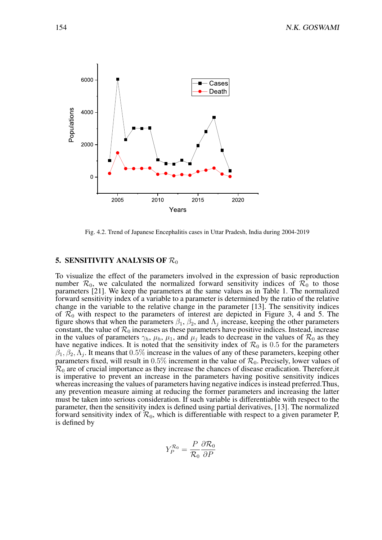

Fig. 4.2. Trend of Japanese Encephalitis cases in Uttar Pradesh, India during 2004-2019

# 5. SENSITIVITY ANALYSIS OF  $\mathcal{R}_0$

To visualize the effect of the parameters involved in the expression of basic reproduction number  $\mathcal{R}_0$ , we calculated the normalized forward sensitivity indices of  $\mathcal{R}_0$  to those parameters [\[21\]](#page-18-1). We keep the parameters at the same values as in Table 1. The normalized forward sensitivity index of a variable to a parameter is determined by the ratio of the relative change in the variable to the relative change in the parameter [\[13\]](#page-17-6). The sensitivity indices of  $\mathcal{R}_0$  with respect to the parameters of interest are depicted in Figure 3, 4 and 5. The figure shows that when the parameters  $\beta_1$ ,  $\beta_2$ , and  $\Lambda_j$  increase, keeping the other parameters constant, the value of  $\mathcal{R}_0$  increases as these parameters have positive indices. Instead, increase in the values of parameters  $\gamma_h$ ,  $\mu_h$ ,  $\mu_1$ , and  $\mu_j$  leads to decrease in the values of  $\mathcal{R}_0$  as they have negative indices. It is noted that the sensitivity index of  $\mathcal{R}_0$  is 0.5 for the parameters  $\beta_1, \beta_2, \bar{\Lambda}_j$ . It means that  $0.5\%$  increase in the values of any of these parameters, keeping other parameters fixed, will result in  $0.5\%$  increment in the value of  $\mathcal{R}_0$ . Precisely, lower values of  $\mathcal{R}_0$  are of crucial importance as they increase the chances of disease eradication. Therefore, it is imperative to prevent an increase in the parameters having positive sensitivity indices whereas increasing the values of parameters having negative indices is instead preferred.Thus, any prevention measure aiming at reducing the former parameters and increasing the latter must be taken into serious consideration. If such variable is differentiable with respect to the parameter, then the sensitivity index is defined using partial derivatives, [\[13\]](#page-17-6). The normalized forward sensitivity index of  $\mathcal{R}_0$ , which is differentiable with respect to a given parameter P, is defined by

$$
Y_P^{\mathcal{R}_0} = \frac{P}{\mathcal{R}_0} \frac{\partial \mathcal{R}_0}{\partial P}
$$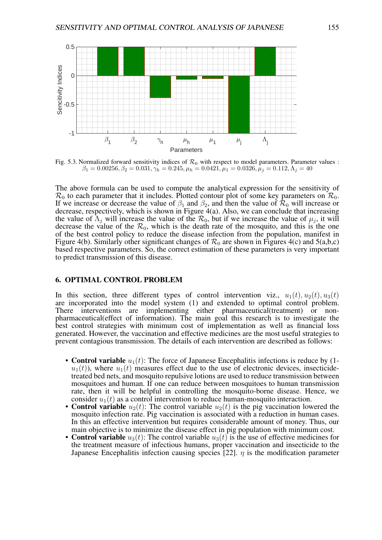

Fig. 5.3. Normalized forward sensitivity indices of  $\mathcal{R}_0$  with respect to model parameters. Parameter values :  $\beta_1 = 0.00256, \beta_2 = 0.031, \gamma_h = 0.245, \mu_h = 0.0421, \mu_1 = 0.0326, \mu_j = 0.112, \Lambda_j = 40$ 

The above formula can be used to compute the analytical expression for the sensitivity of  $\mathcal{R}_0$  to each parameter that it includes. Plotted contour plot of some key parameters on  $\mathcal{R}_0$ . If we increase or decrease the value of  $\beta_1$  and  $\beta_2$ , and then the value of  $\mathcal{R}_0$  will increase or decrease, respectively, which is shown in Figure 4(a). Also, we can conclude that increasing the value of  $\Lambda_j$  will increase the value of the  $\mathcal{R}_0$ , but if we increase the value of  $\mu_j$ , it will decrease the value of the  $\mathcal{R}_0$ , which is the death rate of the mosquito, and this is the one of the best control policy to reduce the disease infection from the population, manifest in Figure 4(b). Similarly other significant changes of  $\mathcal{R}_0$  are shown in Figures 4(c) and 5(a,b,c) based respective parameters. So, the correct estimation of these parameters is very important to predict transmission of this disease.

# 6. OPTIMAL CONTROL PROBLEM

In this section, three different types of control intervention viz.,  $u_1(t)$ ,  $u_2(t)$ ,  $u_3(t)$ are incorporated into the model system (1) and extended to optimal control problem. There interventions are implementing either pharmaceutical(treatment) or nonpharmaceutical(effect of information). The main goal this research is to investigate the best control strategies with minimum cost of implementation as well as financial loss generated. However, the vaccination and effective medicines are the most useful strategies to prevent contagious transmission. The details of each intervention are described as follows:

- Control variable  $u_1(t)$ : The force of Japanese Encephalitis infections is reduce by (1 $u_1(t)$ , where  $u_1(t)$  measures effect due to the use of electronic devices, insecticidetreated bed nets, and mosquito repulsive lotions are used to reduce transmission between mosquitoes and human. If one can reduce between mosquitoes to human transmission rate, then it will be helpful in controlling the mosquito-borne disease. Hence, we consider  $u_1(t)$  as a control intervention to reduce human-mosquito interaction.
- Control variable  $u_2(t)$ : The control variable  $u_2(t)$  is the pig vaccination lowered the mosquito infection rate. Pig vaccination is associated with a reduction in human cases. In this an effective intervention but requires considerable amount of money. Thus, our main objective is to minimize the disease effect in pig population with minimum cost.
- **Control variable**  $u_3(t)$ : The control variable  $u_3(t)$  is the use of effective medicines for the treatment measure of infectious humans, proper vaccination and insecticide to the Japanese Encephalitis infection causing species [\[22\]](#page-18-2).  $\eta$  is the modification parameter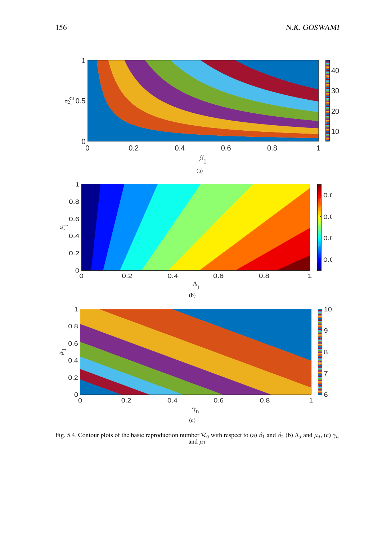156 N.K. GOSWAMI



Fig. 5.4. Contour plots of the basic reproduction number  $\mathcal{R}_0$  with respect to (a)  $\beta_1$  and  $\beta_2$  (b)  $\Lambda_j$  and  $\mu_j$ , (c)  $\gamma_h$ and  $\mu_1$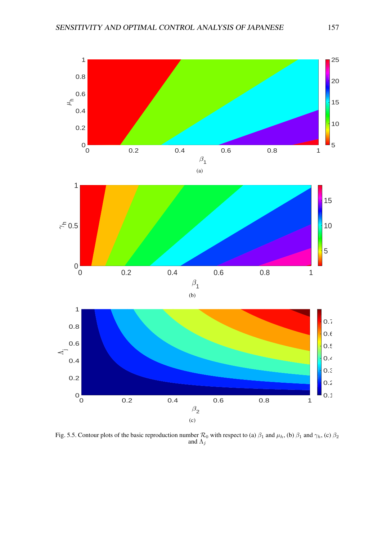

Fig. 5.5. Contour plots of the basic reproduction number  $\mathcal{R}_0$  with respect to (a)  $\beta_1$  and  $\mu_h$ , (b)  $\beta_1$  and  $\gamma_h$ , (c)  $\beta_2$ and  $\Lambda_j$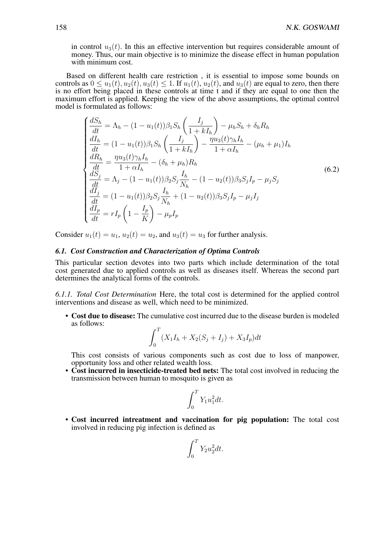in control  $u_3(t)$ . In this an effective intervention but requires considerable amount of money. Thus, our main objective is to minimize the disease effect in human population with minimum cost.

Based on different health care restriction , it is essential to impose some bounds on controls as  $0 \le u_1(t), u_2(t), u_3(t) \le 1$ . If  $u_1(t), u_2(t)$ , and  $u_3(t)$  are equal to zero, then there is no effort being placed in these controls at time t and if they are equal to one then the maximum effort is applied. Keeping the view of the above assumptions, the optimal control model is formulated as follows:

$$
\begin{cases}\n\frac{dS_h}{dt} = \Lambda_h - (1 - u_1(t))\beta_1 S_h \left(\frac{I_j}{1 + kI_h}\right) - \mu_h S_h + \delta_h R_h \\
\frac{dI_h}{dt} = (1 - u_1(t))\beta_1 S_h \left(\frac{I_j}{1 + kI_h}\right) - \frac{\eta u_3(t)\gamma_h I_h}{1 + \alpha I_h} - (\mu_h + \mu_1)I_h \\
\frac{dR_h}{dt} = \frac{\eta u_3(t)\gamma_h I_h}{1 + \alpha I_h} - (\delta_h + \mu_h)R_h \\
\frac{dS_j}{dt} = \Lambda_j - (1 - u_1(t))\beta_2 S_j \frac{I_h}{N_h} - (1 - u_2(t))\beta_3 S_j I_p - \mu_j S_j \\
\frac{dI_j}{dt} = (1 - u_1(t))\beta_2 S_j \frac{I_h}{N_h} + (1 - u_2(t))\beta_3 S_j I_p - \mu_j I_j \\
\frac{dI_p}{dt} = rI_p \left(1 - \frac{I_p}{K}\right) - \mu_p I_p\n\end{cases}
$$
\n(6.2)

Consider  $u_1(t) = u_1$ ,  $u_2(t) = u_2$ , and  $u_3(t) = u_3$  for further analysis.

# *6.1. Cost Construction and Characterization of Optima Controls*

This particular section devotes into two parts which include determination of the total cost generated due to applied controls as well as diseases itself. Whereas the second part determines the analytical forms of the controls.

*6.1.1. Total Cost Determination* Here, the total cost is determined for the applied control interventions and disease as well, which need to be minimized.

• Cost due to disease: The cumulative cost incurred due to the disease burden is modeled as follows:

$$
\int_0^T (X_1 I_h + X_2 (S_j + I_j) + X_3 I_p) dt
$$

This cost consists of various components such as cost due to loss of manpower, opportunity loss and other related wealth loss.

• Cost incurred in insecticide-treated bed nets: The total cost involved in reducing the transmission between human to mosquito is given as

$$
\int_0^T Y_1 u_1^2 dt.
$$

• Cost incurred intreatment and vaccination for pig population: The total cost involved in reducing pig infection is defined as

$$
\int_0^T Y_2 u_2^2 dt.
$$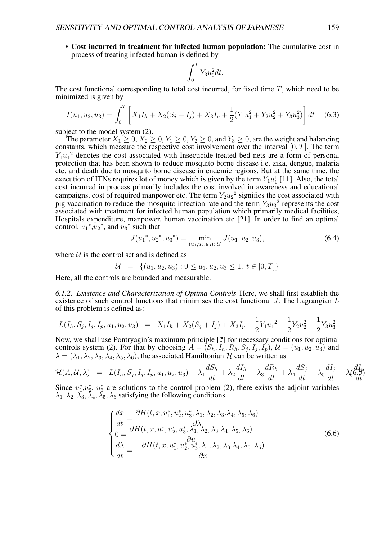• Cost incurred in treatment for infected human population: The cumulative cost in process of treating infected human is defined by

$$
\int_0^T Y_3 u_3^2 dt.
$$

The cost functional corresponding to total cost incurred, for fixed time  $T$ , which need to be minimized is given by

$$
J(u_1, u_2, u_3) = \int_0^T \left[ X_1 I_h + X_2 (S_j + I_j) + X_3 I_p + \frac{1}{2} (Y_1 u_1^2 + Y_2 u_2^2 + Y_3 u_3^2) \right] dt \quad (6.3)
$$

subject to the model system (2).

The parameter  $X_1 \geq 0$ ,  $X_2 \geq 0$ ,  $Y_1 \geq 0$ ,  $Y_2 \geq 0$ , and  $Y_3 \geq 0$ , are the weight and balancing constants, which measure the respective cost involvement over the interval  $[0, T]$ . The term  $Y_1u_1^2$  denotes the cost associated with Insecticide-treated bed nets are a form of personal protection that has been shown to reduce mosquito borne disease i.e. zika, dengue, malaria etc. and death due to mosquito borne disease in endemic regions. But at the same time, the execution of ITNs requires lot of money which is given by the term  $Y_1u_1^1$  [\[11\]](#page-17-4). Also, the total cost incurred in process primarily includes the cost involved in awareness and educational campaigns, cost of required manpower etc. The term  $Y_2u_2^2$  signifies the cost associated with pig vaccination to reduce the mosquito infection rate and the term  $Y_3u_3^2$  represents the cost associated with treatment for infected human population which primarily medical facilities, Hospitals expenditure, manpower, human vaccination etc [\[21\]](#page-18-1). In order to find an optimal control,  $u_1$ <sup>\*</sup>, $u_2$ <sup>\*</sup>, and  $u_3$ <sup>\*</sup> such that

$$
J(u_1^*, u_2^*, u_3^*) = \min_{(u_1, u_2, u_3) \in \mathcal{U}} J(u_1, u_2, u_3), \tag{6.4}
$$

where  $U$  is the control set and is defined as

$$
\mathcal{U} = \{(u_1, u_2, u_3) : 0 \le u_1, u_2, u_3 \le 1, t \in [0, T]\}
$$

Here, all the controls are bounded and measurable.

*6.1.2. Existence and Characterization of Optima Controls* Here, we shall first establish the existence of such control functions that minimises the cost functional  $J$ . The Lagrangian  $L$ of this problem is defined as:

$$
L(I_h, S_j, I_j, I_p, u_1, u_2, u_3) = X_1I_h + X_2(S_j + I_j) + X_3I_p + \frac{1}{2}Y_1u_1^2 + \frac{1}{2}Y_2u_2^2 + \frac{1}{2}Y_3u_3^2
$$

Now, we shall use Pontryagin's maximum principle [?] for necessary conditions for optimal controls system (2). For that by choosing  $A = (S_h, I_h, R_h, S_j, I_j, I_p)$ ,  $\mathcal{U} = (u_1, u_2, u_3)$  and  $\lambda = (\lambda_1, \lambda_2, \lambda_3, \lambda_4, \lambda_5, \lambda_6)$ , the associated Hamiltonian H can be written as

$$
\mathcal{H}(A,\mathcal{U},\lambda) = L(I_h, S_j, I_j, I_p, u_1, u_2, u_3) + \lambda_1 \frac{dS_h}{dt} + \lambda_2 \frac{dI_h}{dt} + \lambda_3 \frac{dR_h}{dt} + \lambda_4 \frac{dS_j}{dt} + \lambda_5 \frac{dI_j}{dt} + \lambda_6 \frac{dI_p}{dt}
$$

Since  $u_1^*, u_2^*, u_3^*$  are solutions to the control problem (2), there exists the adjoint variables  $\lambda_1, \lambda_2, \overline{\lambda_3}, \overline{\lambda_4}, \overline{\lambda_5}, \lambda_6$  satisfying the following conditions.

$$
\begin{cases}\n\frac{dx}{dt} = \frac{\partial H(t, x, u_1^*, u_2^*, u_3^*, \lambda_1, \lambda_2, \lambda_3, \lambda_4, \lambda_5, \lambda_6)}{\partial \lambda} \\
0 = \frac{\partial H(t, x, u_1^*, u_2^*, u_3^*, \lambda_1, \lambda_2, \lambda_3, \lambda_4, \lambda_5, \lambda_6)}{\partial u} \\
\frac{d\lambda}{dt} = -\frac{\partial H(t, x, u_1^*, u_2^*, u_3^*, \lambda_1, \lambda_2, \lambda_3, \lambda_4, \lambda_5, \lambda_6)}{\partial x}\n\end{cases}
$$
\n(6.6)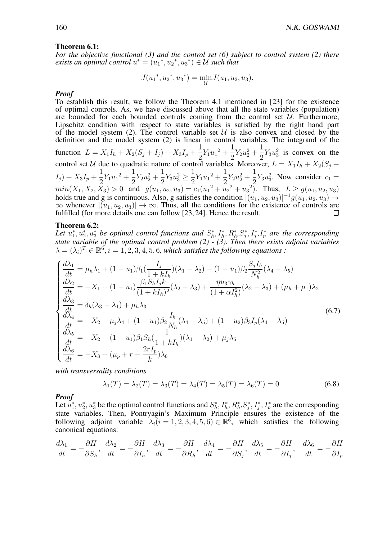#### Theorem 6.1:

*For the objective functional (3) and the control set (6) subject to control system (2) there exists an optimal control*  $u^* = (u_1^*, u_2^*, u_3^*) \in \mathcal{U}$  such that

$$
J(u_1^*, u_2^*, u_3^*) = \min_{\mathcal{U}} J(u_1, u_2, u_3).
$$

#### *Proof*

To establish this result, we follow the Theorem 4.1 mentioned in [\[23\]](#page-18-3) for the existence of optimal controls. As, we have discussed above that all the state variables (population) are bounded for each bounded controls coming from the control set  $U$ . Furthermore, Lipschitz condition with respect to state variables is satisfied by the right hand part of the model system (2). The control variable set  $U$  is also convex and closed by the definition and the model system (2) is linear in control variables. The integrand of the function  $L = X_1 I_h + X_2 (S_j + I_j) + X_3 I_p +$ 1  $rac{1}{2}Y_1u_1^2 + \frac{1}{2}$  $\frac{1}{2}Y_2u_2^2 +$ 1  $\frac{1}{2}Y_3u_3^2$  is convex on the control set U due to quadratic nature of control variables. Moreover,  $L = X_1 I_h + X_2(S_j +$  $I_j + X_3I_p +$ 1  $\frac{1}{2}Y_1u_1^2+\frac{1}{2}$  $\frac{1}{2}Y_2u_2^2 +$ 1  $\frac{1}{2}Y_3u_3^2 \geq \frac{1}{2}$  $rac{1}{2}Y_1u_1^2 + \frac{1}{2}$  $\frac{1}{2}Y_2u_2^2 +$ 1  $\frac{1}{2}Y_3u_3^2$ . Now consider  $c_1 =$  $min(X_1, X_2, X_3) > 0$  and  $g(u_1, u_2, u_3) = c_1(u_1^2 + u_2^2 + u_3^2)$ . Thus,  $L \ge g(u_1, u_2, u_3)$ holds true and g is continuous. Also, g satisfies the condition  $|(u_1, u_2, u_3)|^{-1} g(u_1, u_2, u_3) \rightarrow$  $\infty$  whenever  $|(u_1, u_2, u_3)| \to \infty$ . Thus, all the conditions for the existence of controls are fulfilled (for more details one can follow [23, 24]. Hence the result. fulfilled (for more details one can follow [\[23,](#page-18-3) [24\]](#page-18-4). Hence the result.

#### Theorem 6.2:

Let  $u_1^*, u_2^*, u_3^*$  be optimal control functions and  $S_h^*, I_h^*, R_h^*, S_j^*, I_j^*, I_p^*$  are the corresponding *state variable of the optimal control problem (2) - (3). Then there exists adjoint variables*  $\lambda = (\lambda_i)^T \in \mathbb{R}^6$ ,  $i = 1, 2, 3, 4, 5, 6$ , which satisfies the following equations :

$$
\begin{cases}\n\frac{d\lambda_{1}}{dt} = \mu_{h}\lambda_{1} + (1 - u_{1})\beta_{1}(\frac{I_{j}}{1 + kI_{h}})(\lambda_{1} - \lambda_{2}) - (1 - u_{1})\beta_{2}\frac{S_{j}I_{h}}{N_{h}^{2}}(\lambda_{4} - \lambda_{5}) \\
\frac{d\lambda_{2}}{dt} = -X_{1} + (1 - u_{1})\frac{\beta_{1}S_{h}I_{j}k}{(1 + kI_{h})^{2}}(\lambda_{2} - \lambda_{3}) + \frac{\eta u_{3}\gamma_{h}}{(1 + \alpha I_{h}^{2})}(\lambda_{2} - \lambda_{3}) + (\mu_{h} + \mu_{1})\lambda_{2} \\
\frac{d\lambda_{3}}{dt} = \delta_{h}(\lambda_{3} - \lambda_{1}) + \mu_{h}\lambda_{3} \\
\frac{d\lambda_{4}}{dt} = -X_{2} + \mu_{j}\lambda_{4} + (1 - u_{1})\beta_{2}\frac{I_{h}}{N_{h}}(\lambda_{4} - \lambda_{5}) + (1 - u_{2})\beta_{3}I_{p}(\lambda_{4} - \lambda_{5}) \\
\frac{d\lambda_{5}}{dt} = -X_{2} + (1 - u_{1})\beta_{1}S_{h}(\frac{1}{1 + kI_{h}})(\lambda_{1} - \lambda_{2}) + \mu_{j}\lambda_{5} \\
\frac{d\lambda_{6}}{dt} = -X_{3} + (\mu_{p} + r - \frac{2rI_{p}}{k})\lambda_{6}\n\end{cases}
$$
\n(6.7)

*with transversality conditions*

$$
\lambda_1(T) = \lambda_2(T) = \lambda_3(T) = \lambda_4(T) = \lambda_5(T) = \lambda_6(T) = 0
$$
\n(6.8)

#### *Proof*

Let  $u_1^*, u_2^*, u_3^*$  be the optimal control functions and  $S_h^*, I_h^*, R_h^*, S_j^*, I_j^*, I_p^*$  are the corresponding state variables. Then, Pontryagin's Maximum Principle ensures the existence of the following adjoint variable  $\lambda_i (i = 1, 2, 3, 4, 5, 6) \in \mathbb{R}^6$ , which satisfies the following canonical equations:

$$
\frac{d\lambda_1}{dt} = -\frac{\partial H}{\partial S_h}, \quad \frac{d\lambda_2}{dt} = -\frac{\partial H}{\partial I_h}, \quad \frac{d\lambda_3}{dt} = -\frac{\partial H}{\partial R_h}, \quad \frac{d\lambda_4}{dt} = -\frac{\partial H}{\partial S_j}, \quad \frac{d\lambda_5}{dt} = -\frac{\partial H}{\partial I_j}, \quad \frac{d\lambda_6}{dt} = -\frac{\partial H}{\partial I_p}
$$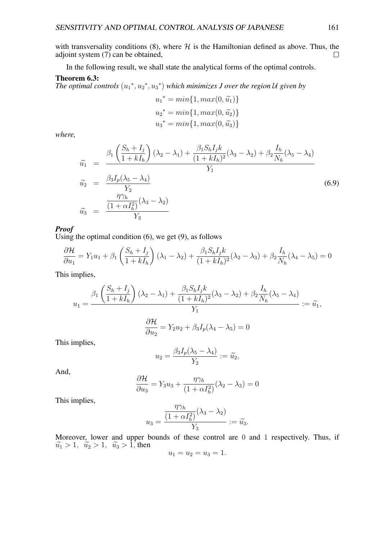with transversality conditions (8), where  $H$  is the Hamiltonian defined as above. Thus, the adjoint system (7) can be obtained. adjoint system (7) can be obtained,

In the following result, we shall state the analytical forms of the optimal controls.

## Theorem 6.3:

*The optimal controls*  $(u_1^*, u_2^*, u_3^*)$  *which minimizes J over the region* U *given by* 

$$
u_1^* = min\{1, max(0, \tilde{u_1})\}
$$
  

$$
u_2^* = min\{1, max(0, \tilde{u_2})\}
$$
  

$$
u_3^* = min\{1, max(0, \tilde{u_3})\}
$$

*where,*

$$
\widetilde{u}_1 = \frac{\beta_1 \left(\frac{S_h + I_j}{1 + kI_h}\right) (\lambda_2 - \lambda_1) + \frac{\beta_1 S_h I_j k}{(1 + kI_h)^2} (\lambda_3 - \lambda_2) + \beta_2 \frac{I_h}{N_h} (\lambda_5 - \lambda_4)}{Y_1}
$$
\n
$$
\widetilde{u}_2 = \frac{\frac{\beta_3 I_p (\lambda_5 - \lambda_4)}{Y_2}}{Y_2}
$$
\n
$$
\widetilde{u}_3 = \frac{\frac{\eta \gamma_h}{(1 + \alpha I_h^2)} (\lambda_3 - \lambda_2)}{Y_3}
$$
\n(6.9)

## *Proof*

Using the optimal condition  $(6)$ , we get  $(9)$ , as follows

$$
\frac{\partial \mathcal{H}}{\partial u_1} = Y_1 u_1 + \beta_1 \left( \frac{S_h + I_j}{1 + k I_h} \right) (\lambda_1 - \lambda_2) + \frac{\beta_1 S_h I_j k}{(1 + k I_h)^2} (\lambda_2 - \lambda_3) + \beta_2 \frac{I_h}{N_h} (\lambda_4 - \lambda_5) = 0
$$

This implies,

$$
u_1 = \frac{\beta_1 \left(\frac{S_h + I_j}{1 + kI_h}\right) (\lambda_2 - \lambda_1) + \frac{\beta_1 S_h I_j k}{(1 + kI_h)^2} (\lambda_3 - \lambda_2) + \beta_2 \frac{I_h}{N_h} (\lambda_5 - \lambda_4)}{Y_1} := \widetilde{u_1},
$$

$$
\frac{\partial \mathcal{H}}{\partial u_2} = Y_2 u_2 + \beta_3 I_p (\lambda_4 - \lambda_5) = 0
$$

This implies,

$$
u_2 = \frac{\beta_3 I_p(\lambda_5 - \lambda_4)}{Y_2} := \widetilde{u_2},
$$

And,

$$
\frac{\partial \mathcal{H}}{\partial u_3} = Y_3 u_3 + \frac{\eta \gamma_h}{(1 + \alpha I_h^2)} (\lambda_2 - \lambda_3) = 0
$$

This implies,

$$
u_3=\frac{\overline{(1+\alpha I_h^2)}(\lambda_3-\lambda_2)}{Y_3}:=\widetilde{u_3}.
$$

 $n_{\gamma}$ 

Moreover, lower and upper bounds of these control are 0 and 1 respectively. Thus, if  $\widetilde{u}_1 > 1$ ,  $\widetilde{u}_2 > 1$ ,  $\widetilde{u}_3 > 1$ , then

$$
u_1 = u_2 = u_3 = 1.
$$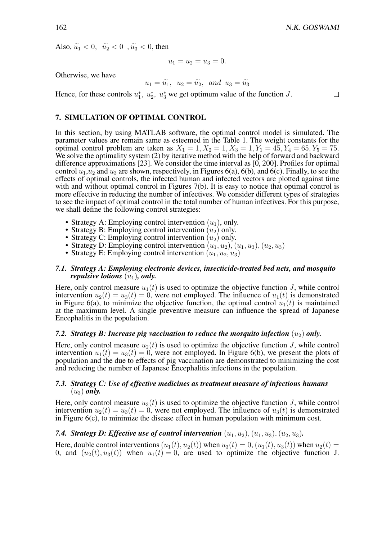$\Box$ 

Also,  $\widetilde{u}_1 < 0$ ,  $\widetilde{u}_2 < 0$ ,  $\widetilde{u}_3 < 0$ , then

$$
u_1 = u_2 = u_3 = 0.
$$

Otherwise, we have

$$
u_1 = \widetilde{u_1}
$$
,  $u_2 = \widetilde{u_2}$ , and  $u_3 = \widetilde{u_3}$ 

Hence, for these controls  $u_1^*$ ,  $u_2^*$ ,  $u_3^*$  we get optimum value of the function J.

# 7. SIMULATION OF OPTIMAL CONTROL

In this section, by using MATLAB software, the optimal control model is simulated. The parameter values are remain same as esteemed in the Table 1. The weight constants for the optimal control problem are taken as  $X_1 = 1, X_2 = 1, X_3 = 1, Y_1 = 45, Y_4 = 65, Y_5 = 75.$ We solve the optimality system (2) by iterative method with the help of forward and backward difference approximations [\[23\]](#page-18-3). We consider the time interval as [0, 200]. Profiles for optimal control  $u_1, u_2$  and  $u_3$  are shown, respectively, in Figures 6(a), 6(b), and 6(c). Finally, to see the effects of optimal controls, the infected human and infected vectors are plotted against time with and without optimal control in Figures 7(b). It is easy to notice that optimal control is more effective in reducing the number of infectives. We consider different types of strategies to see the impact of optimal control in the total number of human infectives. For this purpose, we shall define the following control strategies:

- Strategy A: Employing control intervention  $(u_1)$ , only.
- Strategy B: Employing control intervention  $(u_2)$  only.
- Strategy C: Employing control intervention  $(u_2)$  only.
- Strategy D: Employing control intervention  $(u_1, u_2), (u_1, u_3), (u_2, u_3)$
- Strategy E: Employing control intervention  $(u_1, u_2, u_3)$

## *7.1. Strategy A: Employing electronic devices, insecticide-treated bed nets, and mosquito repulsive lotions*  $(u_1)$ *, only.*

Here, only control measure  $u_1(t)$  is used to optimize the objective function J, while control intervention  $u_2(t) = u_3(t) = 0$ , were not employed. The influence of  $u_1(t)$  is demonstrated in Figure 6(a), to minimize the objective function, the optimal control  $u_1(t)$  is maintained at the maximum level. A single preventive measure can influence the spread of Japanese Encephalitis in the population.

# *7.2. Strategy B: Increase pig vaccination to reduce the mosquito infection*  $(u_2)$  *only.*

Here, only control measure  $u_2(t)$  is used to optimize the objective function J, while control intervention  $u_1(t) = u_3(t) = 0$ , were not employed. In Figure 6(b), we present the plots of population and the due to effects of pig vaccination are demonstrated to minimizing the cost and reducing the number of Japanese Encephalitis infections in the population.

# *7.3. Strategy C: Use of effective medicines as treatment measure of infectious humans*  $(u_3)$  *only.*

Here, only control measure  $u_3(t)$  is used to optimize the objective function J, while control intervention  $u_2(t) = u_3(t) = 0$ , were not employed. The influence of  $u_3(t)$  is demonstrated in Figure 6(c), to minimize the disease effect in human population with minimum cost.

### *7.4. Strategy D: Effective use of control intervention*  $(u_1, u_2), (u_1, u_3), (u_2, u_3)$ .

Here, double control interventions  $(u_1(t), u_2(t))$  when  $u_3(t) = 0$ ,  $(u_1(t), u_3(t))$  when  $u_2(t) = 0$ 0, and  $(u_2(t), u_3(t))$  when  $u_1(t) = 0$ , are used to optimize the objective function J.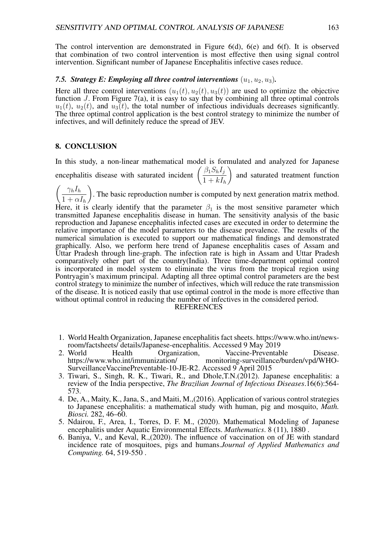The control intervention are demonstrated in Figure 6(d), 6(e) and 6(f). It is observed that combination of two control intervention is most effective then using signal control intervention. Significant number of Japanese Encephalitis infective cases reduce.

### *7.5. Strategy E: Employing all three control interventions*  $(u_1, u_2, u_3)$ *.*

Here all three control interventions  $(u_1(t), u_2(t), u_3(t))$  are used to optimize the objective function  $J$ . From Figure 7(a), it is easy to say that by combining all three optimal controls  $u_1(t)$ ,  $u_2(t)$ , and  $u_3(t)$ , the total number of infectious individuals decreases significantly. The three optimal control application is the best control strategy to minimize the number of infectives, and will definitely reduce the spread of JEV.

# <span id="page-15-0"></span>8. CONCLUSION

In this study, a non-linear mathematical model is formulated and analyzed for Japanese encephalitis disease with saturated incident  $\left(\frac{\beta_1 S_h I_j}{1 + I} \right)$  $1 + kI_h$  $\setminus$ and saturated treatment function

 $\int \gamma_h I_h$  $1 + \alpha I_h$  $\setminus$ . The basic reproduction number is computed by next generation matrix method. Here, it is clearly identify that the parameter  $\beta_1$  is the most sensitive parameter which transmitted Japanese encephalitis disease in human. The sensitivity analysis of the basic reproduction and Japanese encephalitis infected cases are executed in order to determine the relative importance of the model parameters to the disease prevalence. The results of the numerical simulation is executed to support our mathematical findings and demonstrated graphically. Also, we perform here trend of Japanese encephalitis cases of Assam and Uttar Pradesh through line-graph. The infection rate is high in Assam and Uttar Pradesh comparatively other part of the country(India). Three time-department optimal control is incorporated in model system to eliminate the virus from the tropical region using Pontryagin's maximum principal. Adapting all three optimal control parameters are the best control strategy to minimize the number of infectives, which will reduce the rate transmission of the disease. It is noticed easily that use optimal control in the mode is more effective than without optimal control in reducing the number of infectives in the considered period.

#### REFERENCES

- <span id="page-15-1"></span>1. World Health Organization, Japanese encephalitis fact sheets. https://www.who.int/newsroom/factsheets/ details/Japanese-encephalitis. Accessed 9 May 2019
- <span id="page-15-2"></span>World Health Organization, Vaccine-Preventable Disease.<br>https://www.who.int/immunization/ monitoring-surveillance/burden/vpd/WHOmonitoring-surveillance/burden/vpd/WHO-SurveillanceVaccinePreventable-10-JE-R2. Accessed 9 April 2015
- <span id="page-15-3"></span>3. Tiwari, S., Singh, R. K., Tiwari, R., and Dhole,T.N.(2012). Japanese encephalitis: a review of the India perspective, *The Brazilian Journal of Infectious Diseases*.16(6):564- 573.
- <span id="page-15-5"></span>4. De, A., Maity, K., Jana, S., and Maiti, M.,(2016). Application of various control strategies to Japanese encephalitis: a mathematical study with human, pig and mosquito, *Math. Biosci.* 282, 46–60.
- <span id="page-15-4"></span>5. Ndairou, F., Area, I., Torres, D. F. M., (2020). Mathematical Modeling of Japanese encephalitis under Aquatic Environmental Effects. *Mathematics*. 8 (11), 1880 .
- <span id="page-15-6"></span>6. Baniya, V., and Keval, R.,(2020). The influence of vaccination on of JE with standard incidence rate of mosquitoes, pigs and humans.*Journal of Applied Mathematics and Computing.* 64, 519-550 .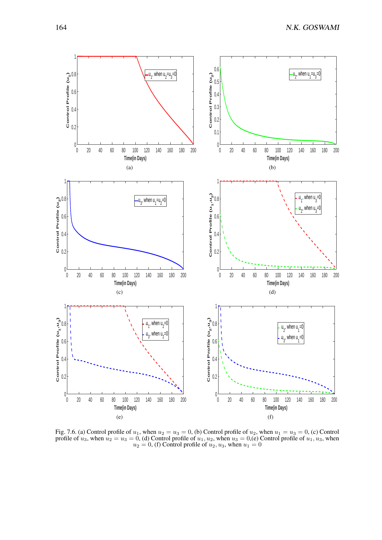

Fig. 7.6. (a) Control profile of  $u_1$ , when  $u_2 = u_3 = 0$ , (b) Control profile of  $u_2$ , when  $u_1 = u_3 = 0$ , (c) Control profile of  $u_3$ , when  $u_2 = u_3 = 0$ , (d) Control profile of  $u_1, u_2$ , when  $u_3 = 0$ , (e) Control profile of  $u_1, u_3$ , when  $u_2 = 0$ , (f) Control profile of  $u_2, u_3$ , when  $u_1 = 0$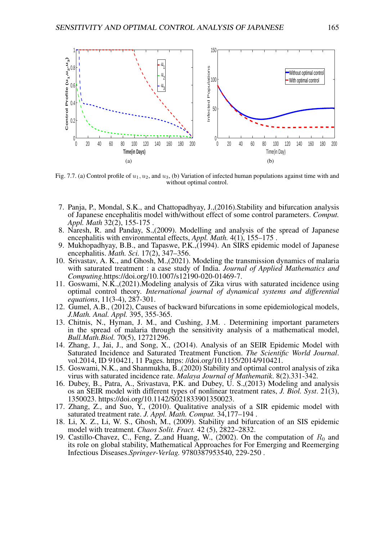

Fig. 7.7. (a) Control profile of  $u_1, u_2$ , and  $u_3$ , (b) Variation of infected human populations against time with and without optimal control.

- <span id="page-17-0"></span>7. Panja, P., Mondal, S.K., and Chattopadhyay, J.,(2016).Stability and bifurcation analysis of Japanese encephalitis model with/without effect of some control parameters. *Comput. Appl. Math* 32(2), 155-175 .
- <span id="page-17-1"></span>8. Naresh, R. and Panday, S.,(2009). Modelling and analysis of the spread of Japanese encephalitis with environmental effects, *Appl. Math.* 4(1), 155–175 .
- <span id="page-17-2"></span>9. Mukhopadhyay, B.B., and Tapaswe, P.K.,(1994). An SIRS epidemic model of Japanese encephalitis. *Math. Sci.* 17(2), 347–356.
- <span id="page-17-3"></span>10. Srivastav, A. K., and Ghosh, M.,(2021). Modeling the transmission dynamics of malaria with saturated treatment : a case study of India. *Journal of Applied Mathematics and Computing*.https://doi.org/10.1007/s12190-020-01469-7.
- <span id="page-17-4"></span>11. Goswami, N.K.,(2021).Modeling analysis of Zika virus with saturated incidence using optimal control theory. *International journal of dynamical systems and differential equations*, 11(3-4), 287-301.
- <span id="page-17-5"></span>12. Gumel, A.B., (2012), Causes of backward bifurcations in some epidemiological models, *J.Math. Anal. Appl.* 395, 355-365.
- <span id="page-17-6"></span>13. Chitnis, N., Hyman, J. M., and Cushing, J.M. . Determining important parameters in the spread of malaria through the sensitivity analysis of a mathematical model, *Bull.Math.Biol.* 70(5), 12721296.
- <span id="page-17-7"></span>14. Zhang, J., Jai, J., and Song, X., (2O14). Analysis of an SEIR Epidemic Model with Saturated Incidence and Saturated Treatment Function. *The Scientific World Journal*. vol.2014, ID 910421, 11 Pages. https: //doi.org/10.1155/2014/910421.
- <span id="page-17-8"></span>15. Goswami, N.K., and Shanmukha, B.,(2020) Stability and optimal control analysis of zika virus with saturated incidence rate. *Malaya Journal of Mathematik*. 8(2).331-342.
- <span id="page-17-9"></span>16. Dubey, B., Patra, A., Srivastava, P.K. and Dubey, U. S.,(2013) Modeling and analysis os an SEIR model with different types of nonlinear treatment rates, *J. Biol. Syst*. 21(3), 1350023. https://doi.org/10.1142/S021833901350023.
- 17. Zhang, Z., and Suo,  $\check{Y}$ ., (2010). Qualitative analysis of a SIR epidemic model with saturated treatment rate. *J. Appl. Math. Comput.* 34,177–194 .
- <span id="page-17-10"></span>18. Li, X. Z., Li, W. S., Ghosh, M., (2009). Stability and bifurcation of an SIS epidemic model with treatment. *Chaos Solit. Fract.* 42 (5), 2822–2832.
- <span id="page-17-11"></span>19. Castillo-Chavez, C., Feng, Z.,and Huang, W., (2002). On the computation of  $R_0$  and its role on global stability, Mathematical Approaches for For Emerging and Reemerging Infectious Diseases.*Springer-Verlag.* 9780387953540, 229-250 .